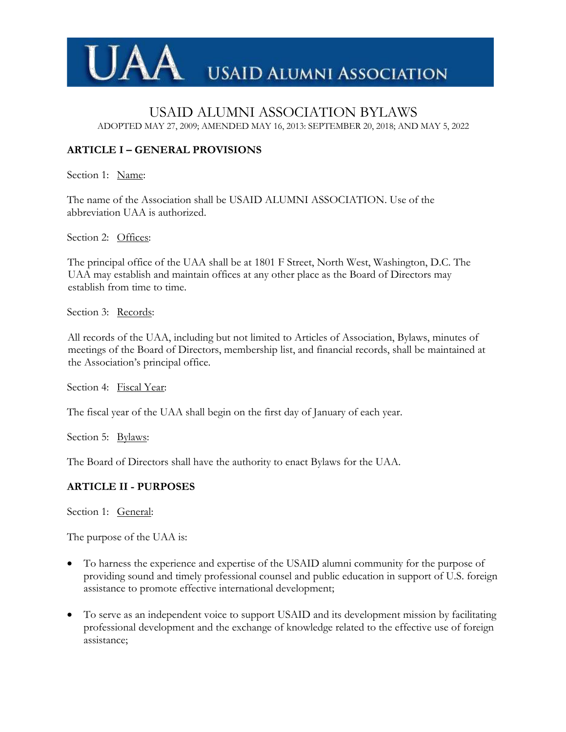

### USAID ALUMNI ASSOCIATION BYLAWS ADOPTED MAY 27, 2009; AMENDED MAY 16, 2013: SEPTEMBER 20, 2018; AND MAY 5, 2022

# **ARTICLE I – GENERAL PROVISIONS**

Section 1: Name:

The name of the Association shall be USAID ALUMNI ASSOCIATION. Use of the abbreviation UAA is authorized.

Section 2: Offices:

The principal office of the UAA shall be at 1801 F Street, North West, Washington, D.C. The UAA may establish and maintain offices at any other place as the Board of Directors may establish from time to time.

Section 3: Records:

All records of the UAA, including but not limited to Articles of Association, Bylaws, minutes of meetings of the Board of Directors, membership list, and financial records, shall be maintained at the Association's principal office.

Section 4: Fiscal Year:

The fiscal year of the UAA shall begin on the first day of January of each year.

Section 5: Bylaws:

The Board of Directors shall have the authority to enact Bylaws for the UAA.

### **ARTICLE II - PURPOSES**

Section 1: General:

The purpose of the UAA is:

- To harness the experience and expertise of the USAID alumni community for the purpose of providing sound and timely professional counsel and public education in support of U.S. foreign assistance to promote effective international development;
- To serve as an independent voice to support USAID and its development mission by facilitating professional development and the exchange of knowledge related to the effective use of foreign assistance;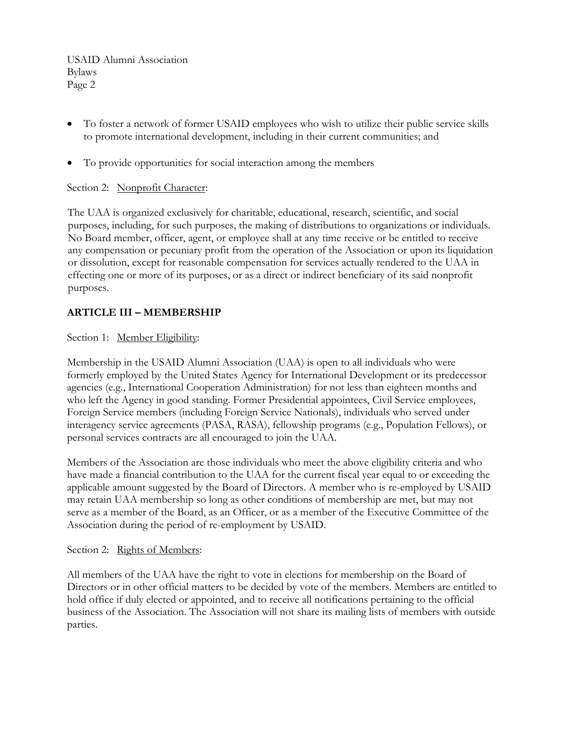- To foster a network of former USAID employees who wish to utilize their public service skills to promote international development, including in their current communities; and
- To provide opportunities for social interaction among the members

### Section 2: Nonprofit Character:

The UAA is organized exclusively for charitable, educational, research, scientific, and social purposes, including, for such purposes, the making of distributions to organizations or individuals. No Board member, officer, agent, or employee shall at any time receive or be entitled to receive any compensation or pecuniary profit from the operation of the Association or upon its liquidation or dissolution, except for reasonable compensation for services actually rendered to the UAA in effecting one or more of its purposes, or as a direct or indirect beneficiary of its said nonprofit purposes.

# **ARTICLE III – MEMBERSHIP**

Section 1: Member Eligibility:

Membership in the USAID Alumni Association (UAA) is open to all individuals who were formerly employed by the United States Agency for International Development or its predecessor agencies (e.g., International Cooperation Administration) for not less than eighteen months and who left the Agency in good standing. Former Presidential appointees, Civil Service employees, Foreign Service members (including Foreign Service Nationals), individuals who served under interagency service agreements (PASA, RASA), fellowship programs (e.g., Population Fellows), or personal services contracts are all encouraged to join the UAA.

Members of the Association are those individuals who meet the above eligibility criteria and who have made a financial contribution to the UAA for the current fiscal year equal to or exceeding the applicable amount suggested by the Board of Directors. A member who is re-employed by USAID may retain UAA membership so long as other conditions of membership are met, but may not serve as a member of the Board, as an Officer, or as a member of the Executive Committee of the Association during the period of re-employment by USAID.

#### Section 2: Rights of Members:

All members of the UAA have the right to vote in elections for membership on the Board of Directors or in other official matters to be decided by vote of the members. Members are entitled to hold office if duly elected or appointed, and to receive all notifications pertaining to the official business of the Association. The Association will not share its mailing lists of members with outside parties.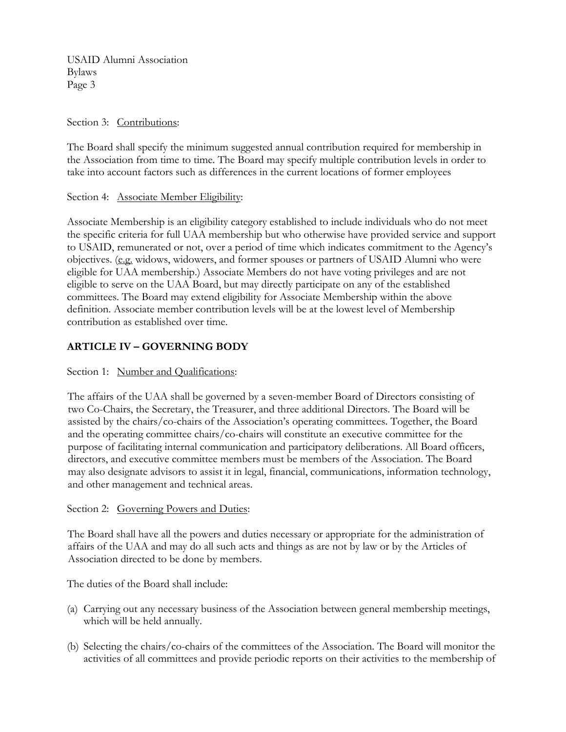#### Section 3: Contributions:

The Board shall specify the minimum suggested annual contribution required for membership in the Association from time to time. The Board may specify multiple contribution levels in order to take into account factors such as differences in the current locations of former employees

#### Section 4: Associate Member Eligibility:

Associate Membership is an eligibility category established to include individuals who do not meet the specific criteria for full UAA membership but who otherwise have provided service and support to USAID, remunerated or not, over a period of time which indicates commitment to the Agency's objectives. (e.g. widows, widowers, and former spouses or partners of USAID Alumni who were eligible for UAA membership.) Associate Members do not have voting privileges and are not eligible to serve on the UAA Board, but may directly participate on any of the established committees. The Board may extend eligibility for Associate Membership within the above definition. Associate member contribution levels will be at the lowest level of Membership contribution as established over time.

## **ARTICLE IV – GOVERNING BODY**

### Section 1: Number and Qualifications:

The affairs of the UAA shall be governed by a seven-member Board of Directors consisting of two Co-Chairs, the Secretary, the Treasurer, and three additional Directors. The Board will be assisted by the chairs/co-chairs of the Association's operating committees. Together, the Board and the operating committee chairs/co-chairs will constitute an executive committee for the purpose of facilitating internal communication and participatory deliberations. All Board officers, directors, and executive committee members must be members of the Association. The Board may also designate advisors to assist it in legal, financial, communications, information technology, and other management and technical areas.

#### Section 2: Governing Powers and Duties:

The Board shall have all the powers and duties necessary or appropriate for the administration of affairs of the UAA and may do all such acts and things as are not by law or by the Articles of Association directed to be done by members.

The duties of the Board shall include:

- (a) Carrying out any necessary business of the Association between general membership meetings, which will be held annually.
- (b) Selecting the chairs/co-chairs of the committees of the Association. The Board will monitor the activities of all committees and provide periodic reports on their activities to the membership of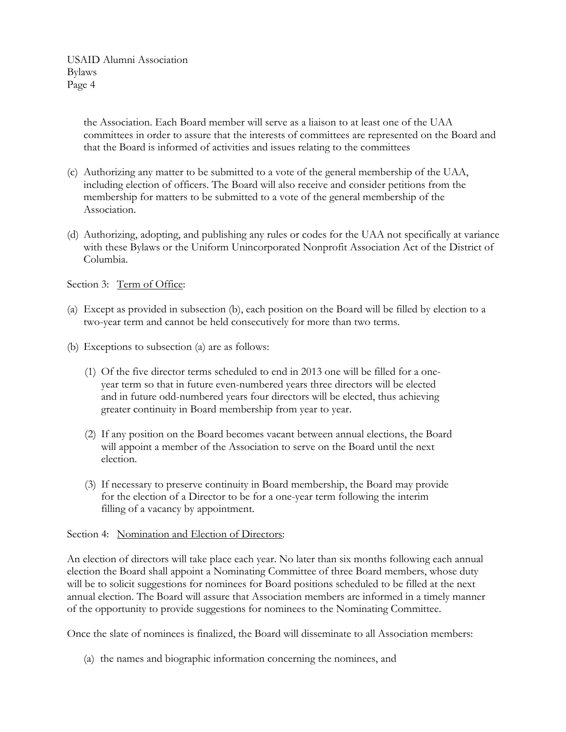> the Association. Each Board member will serve as a liaison to at least one of the UAA committees in order to assure that the interests of committees are represented on the Board and that the Board is informed of activities and issues relating to the committees

- (c) Authorizing any matter to be submitted to a vote of the general membership of the UAA, including election of officers. The Board will also receive and consider petitions from the membership for matters to be submitted to a vote of the general membership of the Association.
- (d) Authorizing, adopting, and publishing any rules or codes for the UAA not specifically at variance with these Bylaws or the Uniform Unincorporated Nonprofit Association Act of the District of Columbia.

Section 3: Term of Office:

- (a) Except as provided in subsection (b), each position on the Board will be filled by election to a two-year term and cannot be held consecutively for more than two terms.
- (b) Exceptions to subsection (a) are as follows:
	- (1) Of the five director terms scheduled to end in 2013 one will be filled for a oneyear term so that in future even-numbered years three directors will be elected and in future odd-numbered years four directors will be elected, thus achieving greater continuity in Board membership from year to year.
	- (2) If any position on the Board becomes vacant between annual elections, the Board will appoint a member of the Association to serve on the Board until the next election.
	- (3) If necessary to preserve continuity in Board membership, the Board may provide for the election of a Director to be for a one-year term following the interim filling of a vacancy by appointment.

### Section 4: Nomination and Election of Directors:

An election of directors will take place each year. No later than six months following each annual election the Board shall appoint a Nominating Committee of three Board members, whose duty will be to solicit suggestions for nominees for Board positions scheduled to be filled at the next annual election. The Board will assure that Association members are informed in a timely manner of the opportunity to provide suggestions for nominees to the Nominating Committee.

Once the slate of nominees is finalized, the Board will disseminate to all Association members:

(a) the names and biographic information concerning the nominees, and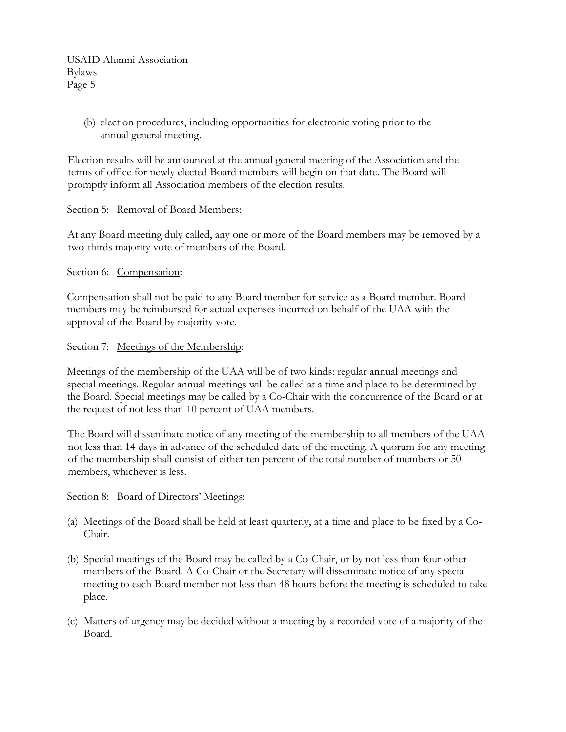> (b) election procedures, including opportunities for electronic voting prior to the annual general meeting.

Election results will be announced at the annual general meeting of the Association and the terms of office for newly elected Board members will begin on that date. The Board will promptly inform all Association members of the election results.

#### Section 5: Removal of Board Members:

At any Board meeting duly called, any one or more of the Board members may be removed by a two-thirds majority vote of members of the Board.

Section 6: Compensation:

Compensation shall not be paid to any Board member for service as a Board member. Board members may be reimbursed for actual expenses incurred on behalf of the UAA with the approval of the Board by majority vote.

Section 7: Meetings of the Membership:

Meetings of the membership of the UAA will be of two kinds: regular annual meetings and special meetings. Regular annual meetings will be called at a time and place to be determined by the Board. Special meetings may be called by a Co-Chair with the concurrence of the Board or at the request of not less than 10 percent of UAA members.

The Board will disseminate notice of any meeting of the membership to all members of the UAA not less than 14 days in advance of the scheduled date of the meeting. A quorum for any meeting of the membership shall consist of either ten percent of the total number of members or 50 members, whichever is less.

### Section 8: Board of Directors' Meetings:

- (a) Meetings of the Board shall be held at least quarterly, at a time and place to be fixed by a Co-Chair.
- (b) Special meetings of the Board may be called by a Co-Chair, or by not less than four other members of the Board. A Co-Chair or the Secretary will disseminate notice of any special meeting to each Board member not less than 48 hours before the meeting is scheduled to take place.
- (c) Matters of urgency may be decided without a meeting by a recorded vote of a majority of the Board.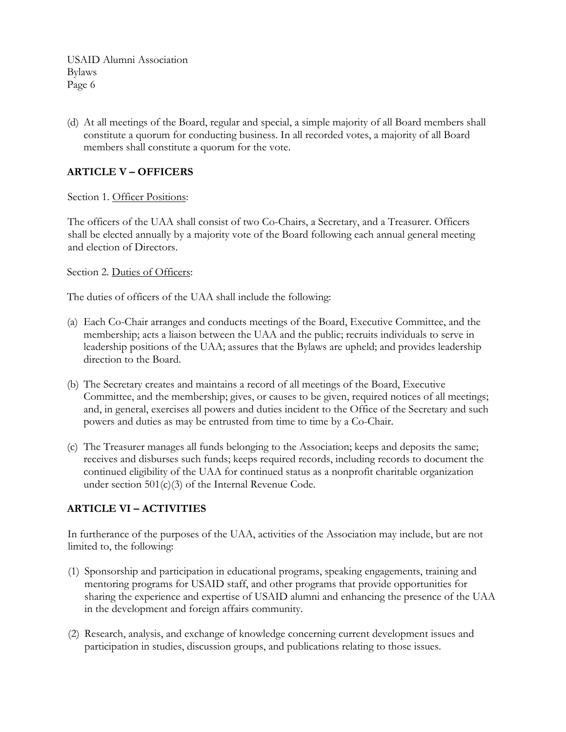(d) At all meetings of the Board, regular and special, a simple majority of all Board members shall constitute a quorum for conducting business. In all recorded votes, a majority of all Board members shall constitute a quorum for the vote.

## **ARTICLE V – OFFICERS**

Section 1. Officer Positions:

The officers of the UAA shall consist of two Co-Chairs, a Secretary, and a Treasurer. Officers shall be elected annually by a majority vote of the Board following each annual general meeting and election of Directors.

Section 2. Duties of Officers:

The duties of officers of the UAA shall include the following:

- (a) Each Co-Chair arranges and conducts meetings of the Board, Executive Committee, and the membership; acts a liaison between the UAA and the public; recruits individuals to serve in leadership positions of the UAA; assures that the Bylaws are upheld; and provides leadership direction to the Board.
- (b) The Secretary creates and maintains a record of all meetings of the Board, Executive Committee, and the membership; gives, or causes to be given, required notices of all meetings; and, in general, exercises all powers and duties incident to the Office of the Secretary and such powers and duties as may be entrusted from time to time by a Co-Chair.
- (c) The Treasurer manages all funds belonging to the Association; keeps and deposits the same; receives and disburses such funds; keeps required records, including records to document the continued eligibility of the UAA for continued status as a nonprofit charitable organization under section 501(c)(3) of the Internal Revenue Code.

# **ARTICLE VI – ACTIVITIES**

In furtherance of the purposes of the UAA, activities of the Association may include, but are not limited to, the following:

- (1) Sponsorship and participation in educational programs, speaking engagements, training and mentoring programs for USAID staff, and other programs that provide opportunities for sharing the experience and expertise of USAID alumni and enhancing the presence of the UAA in the development and foreign affairs community.
- (2) Research, analysis, and exchange of knowledge concerning current development issues and participation in studies, discussion groups, and publications relating to those issues.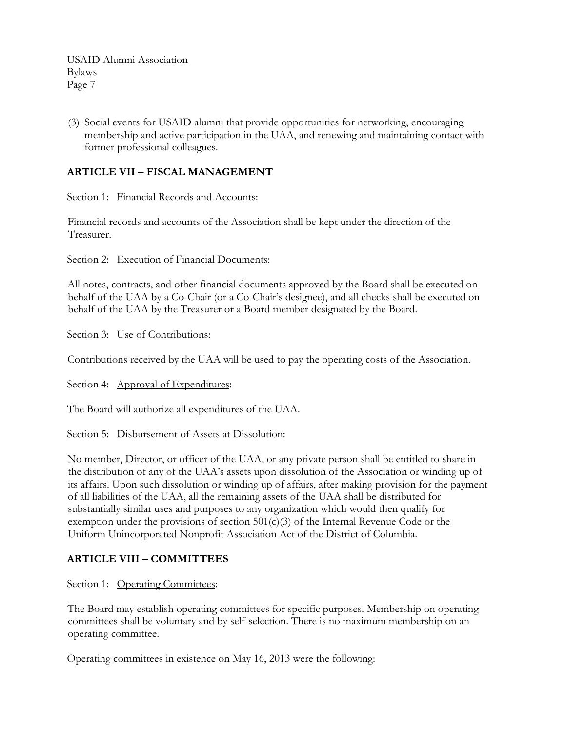(3) Social events for USAID alumni that provide opportunities for networking, encouraging membership and active participation in the UAA, and renewing and maintaining contact with former professional colleagues.

### **ARTICLE VII – FISCAL MANAGEMENT**

Section 1: Financial Records and Accounts:

Financial records and accounts of the Association shall be kept under the direction of the Treasurer.

Section 2: Execution of Financial Documents:

All notes, contracts, and other financial documents approved by the Board shall be executed on behalf of the UAA by a Co-Chair (or a Co-Chair's designee), and all checks shall be executed on behalf of the UAA by the Treasurer or a Board member designated by the Board.

Section 3: Use of Contributions:

Contributions received by the UAA will be used to pay the operating costs of the Association.

Section 4: Approval of Expenditures:

The Board will authorize all expenditures of the UAA.

Section 5: Disbursement of Assets at Dissolution:

No member, Director, or officer of the UAA, or any private person shall be entitled to share in the distribution of any of the UAA's assets upon dissolution of the Association or winding up of its affairs. Upon such dissolution or winding up of affairs, after making provision for the payment of all liabilities of the UAA, all the remaining assets of the UAA shall be distributed for substantially similar uses and purposes to any organization which would then qualify for exemption under the provisions of section  $501(c)(3)$  of the Internal Revenue Code or the Uniform Unincorporated Nonprofit Association Act of the District of Columbia.

# **ARTICLE VIII – COMMITTEES**

Section 1: Operating Committees:

The Board may establish operating committees for specific purposes. Membership on operating committees shall be voluntary and by self-selection. There is no maximum membership on an operating committee.

Operating committees in existence on May 16, 2013 were the following: